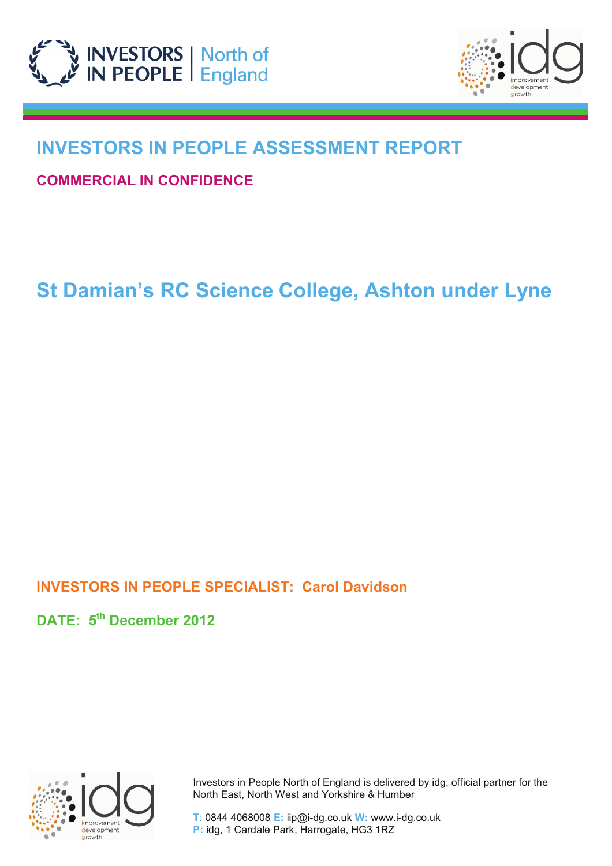



## **INVESTORS IN PEOPLE ASSESSMENT REPORT**

**COMMERCIAL IN CONFIDENCE**

# **St Damian's RC Science College, Ashton under Lyne**

## **INVESTORS IN PEOPLE SPECIALIST: Carol Davidson**

**DATE: 5th December 2012** 



 Investors in People North of England is delivered by idg, official partner for the North East, North West and Yorkshire & Humber

 **T**: 0844 4068008 **E:** iip@i-dg.co.uk **W:** www.i-dg.co.uk  **P:** idg, 1 Cardale Park, Harrogate, HG3 1RZ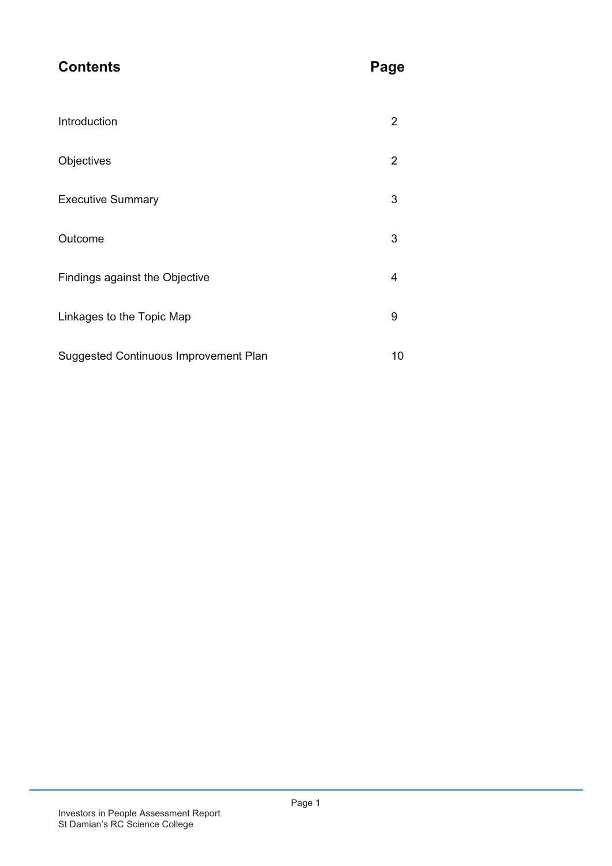## **Contents** Page

| Introduction                          | 2  |
|---------------------------------------|----|
| Objectives                            | 2  |
| <b>Executive Summary</b>              | 3  |
| Outcome                               | 3  |
| Findings against the Objective        | 4  |
| Linkages to the Topic Map             | 9  |
| Suggested Continuous Improvement Plan | 10 |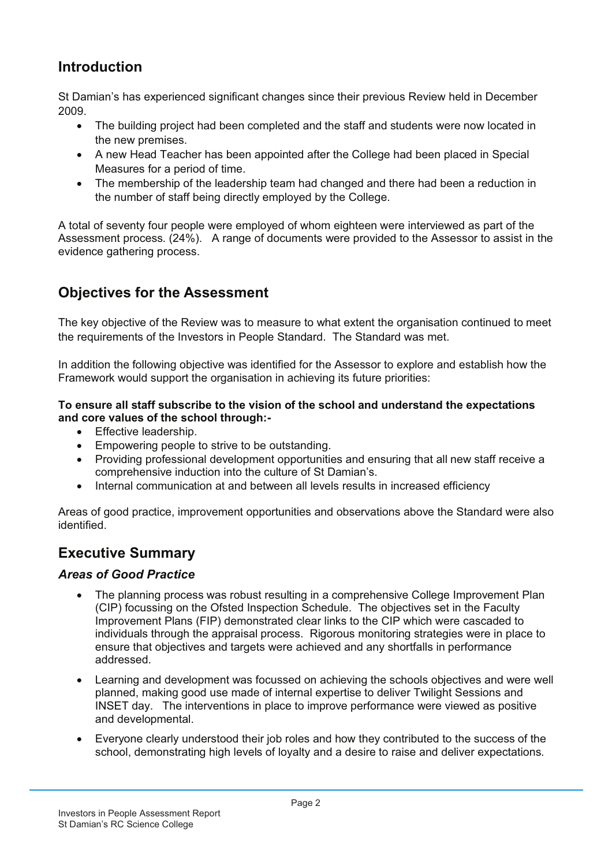## **Introduction**

St Damian's has experienced significant changes since their previous Review held in December 2009.

- ! The building project had been completed and the staff and students were now located in the new premises.
- A new Head Teacher has been appointed after the College had been placed in Special Measures for a period of time.
- The membership of the leadership team had changed and there had been a reduction in the number of staff being directly employed by the College.

A total of seventy four people were employed of whom eighteen were interviewed as part of the Assessment process. (24%). A range of documents were provided to the Assessor to assist in the evidence gathering process.

## **Objectives for the Assessment**

The key objective of the Review was to measure to what extent the organisation continued to meet the requirements of the Investors in People Standard. The Standard was met.

In addition the following objective was identified for the Assessor to explore and establish how the Framework would support the organisation in achieving its future priorities:

#### **To ensure all staff subscribe to the vision of the school and understand the expectations and core values of the school through:-**

- **•** Effective leadership.
- Empowering people to strive to be outstanding.
- ! Providing professional development opportunities and ensuring that all new staff receive a comprehensive induction into the culture of St Damian's.
- Internal communication at and between all levels results in increased efficiency

Areas of good practice, improvement opportunities and observations above the Standard were also **identified** 

## **Executive Summary**

#### *Areas of Good Practice*

- The planning process was robust resulting in a comprehensive College Improvement Plan (CIP) focussing on the Ofsted Inspection Schedule. The objectives set in the Faculty Improvement Plans (FIP) demonstrated clear links to the CIP which were cascaded to individuals through the appraisal process. Rigorous monitoring strategies were in place to ensure that objectives and targets were achieved and any shortfalls in performance addressed.
- Learning and development was focussed on achieving the schools objectives and were well planned, making good use made of internal expertise to deliver Twilight Sessions and INSET day. The interventions in place to improve performance were viewed as positive and developmental.
- ! Everyone clearly understood their job roles and how they contributed to the success of the school, demonstrating high levels of loyalty and a desire to raise and deliver expectations.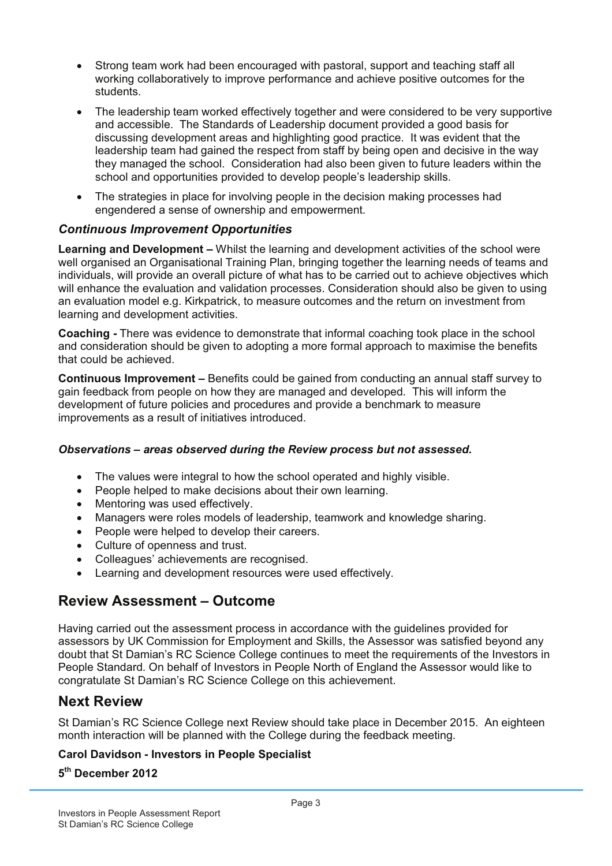- ! Strong team work had been encouraged with pastoral, support and teaching staff all working collaboratively to improve performance and achieve positive outcomes for the students.
- ! The leadership team worked effectively together and were considered to be very supportive and accessible. The Standards of Leadership document provided a good basis for discussing development areas and highlighting good practice. It was evident that the leadership team had gained the respect from staff by being open and decisive in the way they managed the school. Consideration had also been given to future leaders within the school and opportunities provided to develop people's leadership skills.
- The strategies in place for involving people in the decision making processes had engendered a sense of ownership and empowerment.

#### *Continuous Improvement Opportunities*

**Learning and Development –** Whilst the learning and development activities of the school were well organised an Organisational Training Plan, bringing together the learning needs of teams and individuals, will provide an overall picture of what has to be carried out to achieve objectives which will enhance the evaluation and validation processes. Consideration should also be given to using an evaluation model e.g. Kirkpatrick, to measure outcomes and the return on investment from learning and development activities.

**Coaching -** There was evidence to demonstrate that informal coaching took place in the school and consideration should be given to adopting a more formal approach to maximise the benefits that could be achieved.

**Continuous Improvement –** Benefits could be gained from conducting an annual staff survey to gain feedback from people on how they are managed and developed. This will inform the development of future policies and procedures and provide a benchmark to measure improvements as a result of initiatives introduced.

#### *Observations – areas observed during the Review process but not assessed.*

- The values were integral to how the school operated and highly visible.
- People helped to make decisions about their own learning.
- Mentoring was used effectively.
- ! Managers were roles models of leadership, teamwork and knowledge sharing.
- People were helped to develop their careers.
- Culture of openness and trust.
- Colleagues' achievements are recognised.
- Learning and development resources were used effectively.

#### **Review Assessment – Outcome**

Having carried out the assessment process in accordance with the guidelines provided for assessors by UK Commission for Employment and Skills, the Assessor was satisfied beyond any doubt that St Damian's RC Science College continues to meet the requirements of the Investors in People Standard. On behalf of Investors in People North of England the Assessor would like to congratulate St Damian's RC Science College on this achievement.

#### **Next Review**

St Damian's RC Science College next Review should take place in December 2015. An eighteen month interaction will be planned with the College during the feedback meeting.

#### **Carol Davidson - Investors in People Specialist**

**5 th December 2012**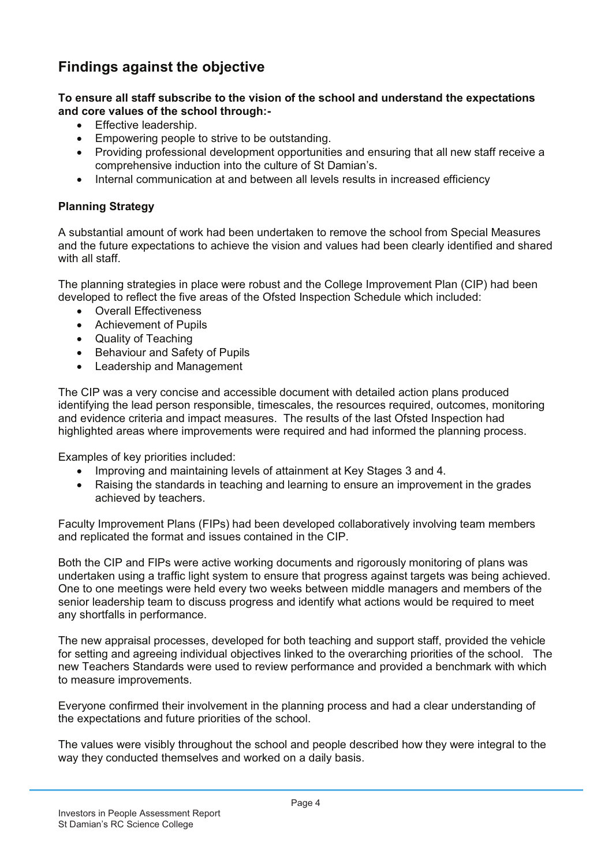## **Findings against the objective**

**To ensure all staff subscribe to the vision of the school and understand the expectations and core values of the school through:-**

- Effective leadership.
- Empowering people to strive to be outstanding.
- ! Providing professional development opportunities and ensuring that all new staff receive a comprehensive induction into the culture of St Damian's.
- ! Internal communication at and between all levels results in increased efficiency

#### **Planning Strategy**

A substantial amount of work had been undertaken to remove the school from Special Measures and the future expectations to achieve the vision and values had been clearly identified and shared with all staff

The planning strategies in place were robust and the College Improvement Plan (CIP) had been developed to reflect the five areas of the Ofsted Inspection Schedule which included:

- Overall Effectiveness
- Achievement of Pupils
- Quality of Teaching
- Behaviour and Safety of Pupils
- Leadership and Management

The CIP was a very concise and accessible document with detailed action plans produced identifying the lead person responsible, timescales, the resources required, outcomes, monitoring and evidence criteria and impact measures. The results of the last Ofsted Inspection had highlighted areas where improvements were required and had informed the planning process.

Examples of key priorities included:

- ! Improving and maintaining levels of attainment at Key Stages 3 and 4.
- Raising the standards in teaching and learning to ensure an improvement in the grades achieved by teachers.

Faculty Improvement Plans (FIPs) had been developed collaboratively involving team members and replicated the format and issues contained in the CIP.

Both the CIP and FIPs were active working documents and rigorously monitoring of plans was undertaken using a traffic light system to ensure that progress against targets was being achieved. One to one meetings were held every two weeks between middle managers and members of the senior leadership team to discuss progress and identify what actions would be required to meet any shortfalls in performance.

The new appraisal processes, developed for both teaching and support staff, provided the vehicle for setting and agreeing individual objectives linked to the overarching priorities of the school. The new Teachers Standards were used to review performance and provided a benchmark with which to measure improvements.

Everyone confirmed their involvement in the planning process and had a clear understanding of the expectations and future priorities of the school.

The values were visibly throughout the school and people described how they were integral to the way they conducted themselves and worked on a daily basis.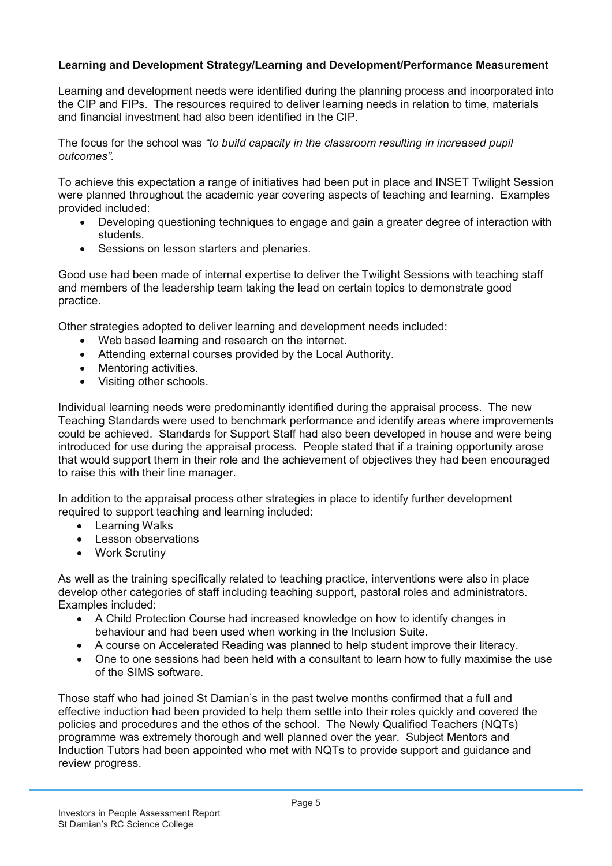#### **Learning and Development Strategy/Learning and Development/Performance Measurement**

Learning and development needs were identified during the planning process and incorporated into the CIP and FIPs. The resources required to deliver learning needs in relation to time, materials and financial investment had also been identified in the CIP.

The focus for the school was *"to build capacity in the classroom resulting in increased pupil outcomes".*

To achieve this expectation a range of initiatives had been put in place and INSET Twilight Session were planned throughout the academic year covering aspects of teaching and learning. Examples provided included:

- ! Developing questioning techniques to engage and gain a greater degree of interaction with students.
- Sessions on lesson starters and plenaries.

Good use had been made of internal expertise to deliver the Twilight Sessions with teaching staff and members of the leadership team taking the lead on certain topics to demonstrate good practice.

Other strategies adopted to deliver learning and development needs included:

- Web based learning and research on the internet.
- ! Attending external courses provided by the Local Authority.
- Mentoring activities.
- Visiting other schools.

Individual learning needs were predominantly identified during the appraisal process. The new Teaching Standards were used to benchmark performance and identify areas where improvements could be achieved. Standards for Support Staff had also been developed in house and were being introduced for use during the appraisal process. People stated that if a training opportunity arose that would support them in their role and the achievement of objectives they had been encouraged to raise this with their line manager.

In addition to the appraisal process other strategies in place to identify further development required to support teaching and learning included:

- Learning Walks
- Lesson observations
- Work Scrutiny

As well as the training specifically related to teaching practice, interventions were also in place develop other categories of staff including teaching support, pastoral roles and administrators. Examples included:

- A Child Protection Course had increased knowledge on how to identify changes in behaviour and had been used when working in the Inclusion Suite.
- ! A course on Accelerated Reading was planned to help student improve their literacy.
- ! One to one sessions had been held with a consultant to learn how to fully maximise the use of the SIMS software.

Those staff who had joined St Damian's in the past twelve months confirmed that a full and effective induction had been provided to help them settle into their roles quickly and covered the policies and procedures and the ethos of the school. The Newly Qualified Teachers (NQTs) programme was extremely thorough and well planned over the year. Subject Mentors and Induction Tutors had been appointed who met with NQTs to provide support and guidance and review progress.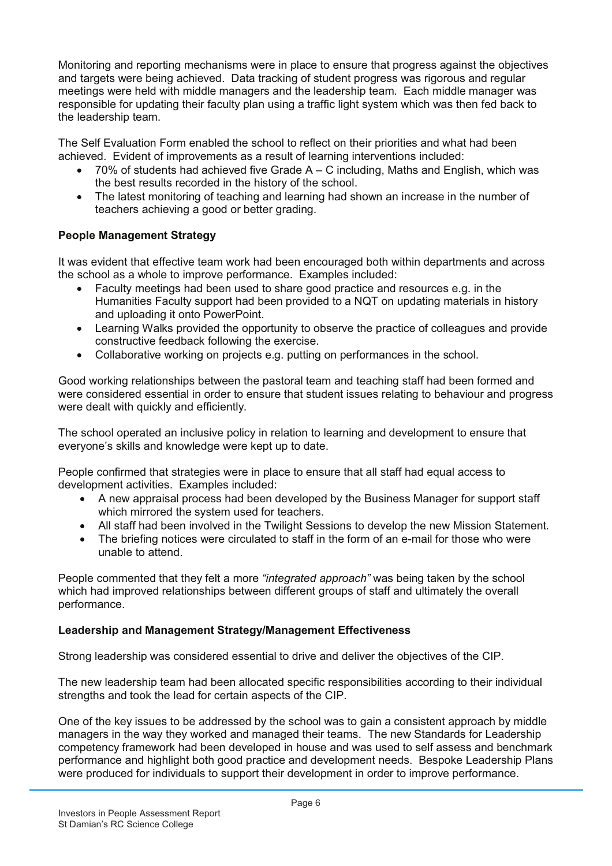Monitoring and reporting mechanisms were in place to ensure that progress against the objectives and targets were being achieved. Data tracking of student progress was rigorous and regular meetings were held with middle managers and the leadership team. Each middle manager was responsible for updating their faculty plan using a traffic light system which was then fed back to the leadership team.

The Self Evaluation Form enabled the school to reflect on their priorities and what had been achieved. Evident of improvements as a result of learning interventions included:

- $\bullet$  70% of students had achieved five Grade A C including, Maths and English, which was the best results recorded in the history of the school.
- The latest monitoring of teaching and learning had shown an increase in the number of teachers achieving a good or better grading.

#### **People Management Strategy**

It was evident that effective team work had been encouraged both within departments and across the school as a whole to improve performance. Examples included:

- ! Faculty meetings had been used to share good practice and resources e.g. in the Humanities Faculty support had been provided to a NQT on updating materials in history and uploading it onto PowerPoint.
- Learning Walks provided the opportunity to observe the practice of colleagues and provide constructive feedback following the exercise.
- Collaborative working on projects e.g. putting on performances in the school.

Good working relationships between the pastoral team and teaching staff had been formed and were considered essential in order to ensure that student issues relating to behaviour and progress were dealt with quickly and efficiently.

The school operated an inclusive policy in relation to learning and development to ensure that everyone's skills and knowledge were kept up to date.

People confirmed that strategies were in place to ensure that all staff had equal access to development activities. Examples included:

- ! A new appraisal process had been developed by the Business Manager for support staff which mirrored the system used for teachers.
- ! All staff had been involved in the Twilight Sessions to develop the new Mission Statement.
- The briefing notices were circulated to staff in the form of an e-mail for those who were unable to attend.

People commented that they felt a more *"integrated approach"* was being taken by the school which had improved relationships between different groups of staff and ultimately the overall performance.

#### **Leadership and Management Strategy/Management Effectiveness**

Strong leadership was considered essential to drive and deliver the objectives of the CIP.

The new leadership team had been allocated specific responsibilities according to their individual strengths and took the lead for certain aspects of the CIP.

One of the key issues to be addressed by the school was to gain a consistent approach by middle managers in the way they worked and managed their teams. The new Standards for Leadership competency framework had been developed in house and was used to self assess and benchmark performance and highlight both good practice and development needs. Bespoke Leadership Plans were produced for individuals to support their development in order to improve performance.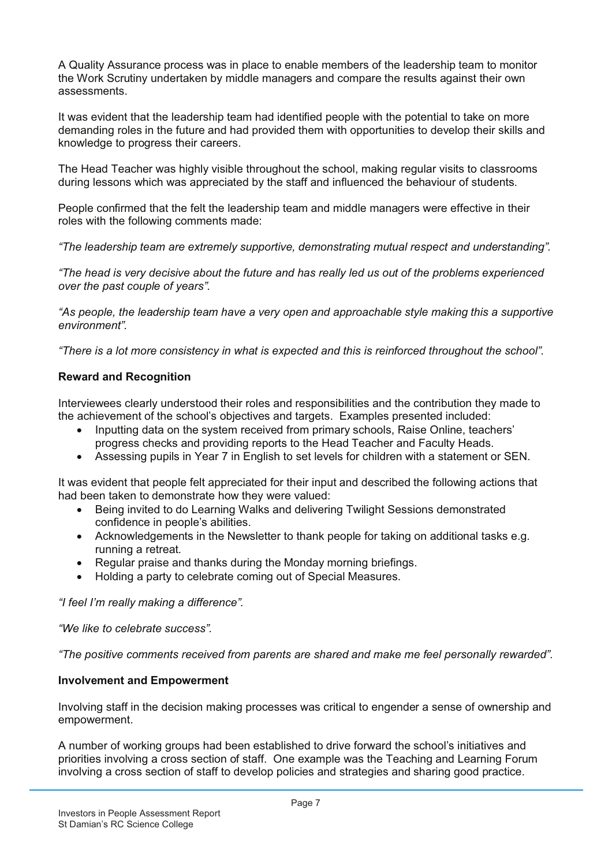A Quality Assurance process was in place to enable members of the leadership team to monitor the Work Scrutiny undertaken by middle managers and compare the results against their own assessments.

It was evident that the leadership team had identified people with the potential to take on more demanding roles in the future and had provided them with opportunities to develop their skills and knowledge to progress their careers.

The Head Teacher was highly visible throughout the school, making regular visits to classrooms during lessons which was appreciated by the staff and influenced the behaviour of students.

People confirmed that the felt the leadership team and middle managers were effective in their roles with the following comments made:

*"The leadership team are extremely supportive, demonstrating mutual respect and understanding".*

*"The head is very decisive about the future and has really led us out of the problems experienced over the past couple of years".*

*"As people, the leadership team have a very open and approachable style making this a supportive environment".*

*"There is a lot more consistency in what is expected and this is reinforced throughout the school".*

#### **Reward and Recognition**

Interviewees clearly understood their roles and responsibilities and the contribution they made to the achievement of the school's objectives and targets. Examples presented included:

- Inputting data on the system received from primary schools, Raise Online, teachers' progress checks and providing reports to the Head Teacher and Faculty Heads.
- ! Assessing pupils in Year 7 in English to set levels for children with a statement or SEN.

It was evident that people felt appreciated for their input and described the following actions that had been taken to demonstrate how they were valued:

- ! Being invited to do Learning Walks and delivering Twilight Sessions demonstrated confidence in people's abilities.
- Acknowledgements in the Newsletter to thank people for taking on additional tasks e.g. running a retreat.
- Regular praise and thanks during the Monday morning briefings.
- ! Holding a party to celebrate coming out of Special Measures.

*"I feel I'm really making a difference".*

*"We like to celebrate success".*

*"The positive comments received from parents are shared and make me feel personally rewarded".*

#### **Involvement and Empowerment**

Involving staff in the decision making processes was critical to engender a sense of ownership and empowerment.

A number of working groups had been established to drive forward the school's initiatives and priorities involving a cross section of staff. One example was the Teaching and Learning Forum involving a cross section of staff to develop policies and strategies and sharing good practice.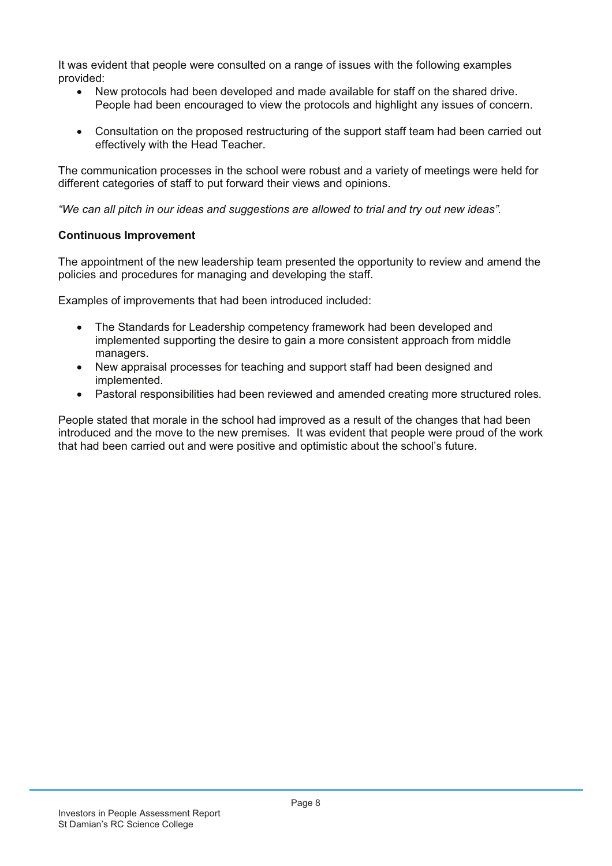It was evident that people were consulted on a range of issues with the following examples provided:

- New protocols had been developed and made available for staff on the shared drive. People had been encouraged to view the protocols and highlight any issues of concern.
- Consultation on the proposed restructuring of the support staff team had been carried out effectively with the Head Teacher.

The communication processes in the school were robust and a variety of meetings were held for different categories of staff to put forward their views and opinions.

*"We can all pitch in our ideas and suggestions are allowed to trial and try out new ideas".*

#### **Continuous Improvement**

The appointment of the new leadership team presented the opportunity to review and amend the policies and procedures for managing and developing the staff.

Examples of improvements that had been introduced included:

- The Standards for Leadership competency framework had been developed and implemented supporting the desire to gain a more consistent approach from middle managers.
- ! New appraisal processes for teaching and support staff had been designed and implemented.
- ! Pastoral responsibilities had been reviewed and amended creating more structured roles.

People stated that morale in the school had improved as a result of the changes that had been introduced and the move to the new premises. It was evident that people were proud of the work that had been carried out and were positive and optimistic about the school's future.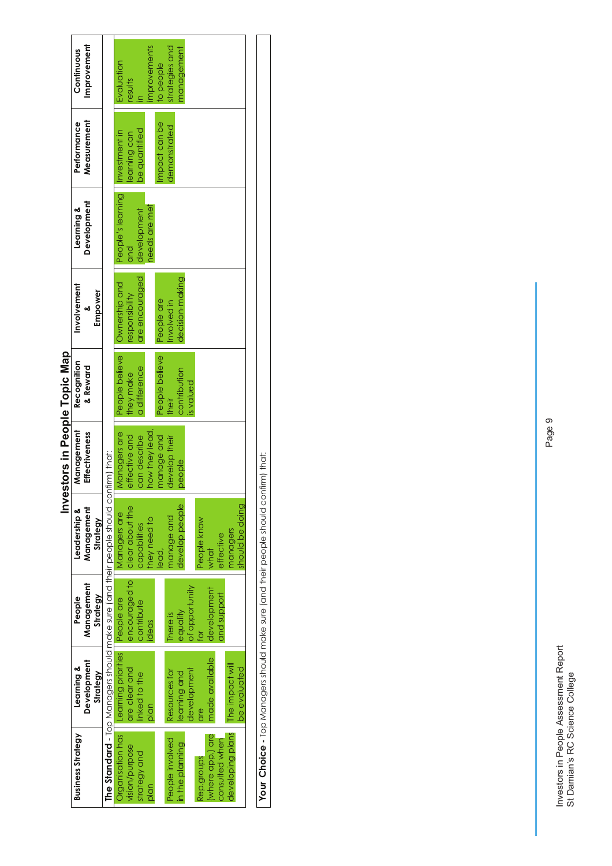|                               | Improvement<br>Continuous              |                                                                                      | Evaluation                      | results         |                | mprovements    | to people      | strategies and  | management      |                  |             |                 |                |                  |                 |
|-------------------------------|----------------------------------------|--------------------------------------------------------------------------------------|---------------------------------|-----------------|----------------|----------------|----------------|-----------------|-----------------|------------------|-------------|-----------------|----------------|------------------|-----------------|
|                               | Measurement<br>Performance             |                                                                                      |                                 | learning can    | be quantified  |                | npact can be   | demonstrated    |                 |                  |             |                 |                |                  |                 |
|                               | Development<br>Learning &              |                                                                                      | People's learning Investment in | and             | development    | needs are met  |                |                 |                 |                  |             |                 |                |                  |                 |
|                               | Involvement<br>Empower                 |                                                                                      | Ownership and                   | responsibility  | are encouraged |                | People are     | nvolved in      | decision-making |                  |             |                 |                |                  |                 |
|                               | Recognition<br>& Reward                |                                                                                      | People believe                  | they make       | a difference   |                | People believe | their           | contribution    | <b>bealpo</b> si |             |                 |                |                  |                 |
| Investors in People Topic Map | Management<br>Effectiveness            |                                                                                      | Managers are                    | effective and   | can describe   | how they lead, | manage and     | develop their   | people          |                  |             |                 |                |                  |                 |
|                               | Management<br>Leadership &<br>Strategy | The Standard - Top Managers should make sure (and their people should confirm) that: | Managers are                    | clear about the | capabilities   | hey need to    | lead,          | nanage and      | develop people  |                  | People know | what            | effective      | managers         | should be doing |
|                               | Management<br>Strategy<br>People       |                                                                                      | People are                      | encouraged to   | contribute     | deas           |                | There is        | equality        | of opportunity   | ŏ           | development     | and support    |                  |                 |
|                               | Development<br>Learning &<br>Strategy  |                                                                                      | Learning priorities             | are clear and   | linked to the  | plan           |                | Resources for   | learning and    | development      | e<br>D      | made available  |                | The impact will  | be evaluated    |
|                               | <b>Business Strategy</b>               |                                                                                      | Organisation has                | vision/purpose  | strategy and   | plan           |                | People involved | in the planning |                  | Rep.groups  | where app.) are | consulted when | developing plans |                 |

Your Choice - Top Managers should make sure (and their people should confirm) that: **Your Choice -** Top Managers should make sure (and their people should confirm) that:

Investors in People Assessment Report<br>St Damian's RC Science College Investors in People Assessment Report St Damian's RC Science College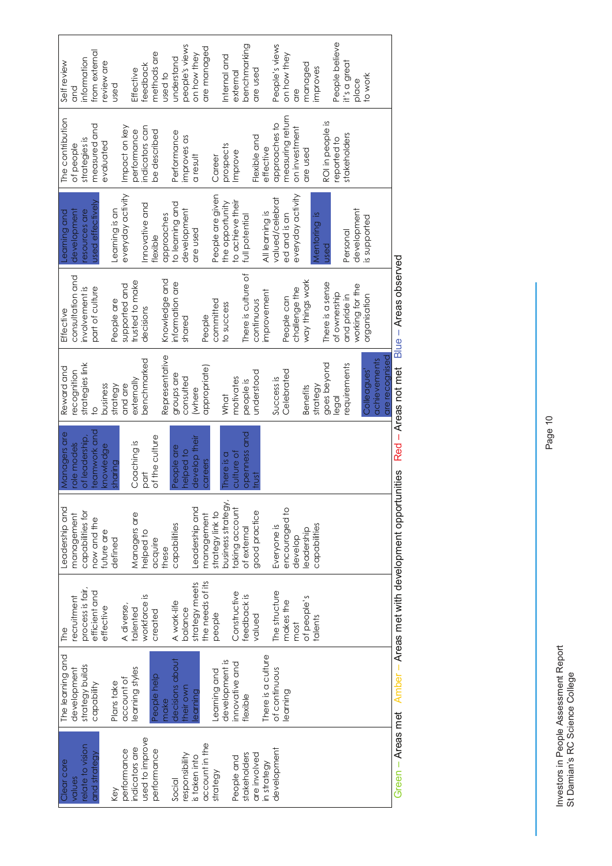| Self review      | and              | information      | from external    | review are | pesn           |                   | Effective       | feedback        | methods are    | used to        | understand      | people's views | on how they    | are managed      |                  | Internal and       | external         | benchmarking        | are used      |                    | People's views  | on how they      | are               | managed         | improves     |                  | People believe | it's a great | place           | to work      |              |                |
|------------------|------------------|------------------|------------------|------------|----------------|-------------------|-----------------|-----------------|----------------|----------------|-----------------|----------------|----------------|------------------|------------------|--------------------|------------------|---------------------|---------------|--------------------|-----------------|------------------|-------------------|-----------------|--------------|------------------|----------------|--------------|-----------------|--------------|--------------|----------------|
| The contribution | of people        | strategies is    | measured and     | evaluated  |                | Impact on key     | performance     | indicators can  | be described   |                | Performance     | improves as    | a result       |                  | Career           | prospects          | Improve          |                     | Flexible and  | effective          | approaches to   | measuring return | on investment     | are used        |              | ROI in people is | reported to    | stakeholders |                 |              |              |                |
| Learning and     | development      | esources are     | used effectively |            | Learning is an | everyday activity |                 | Innovative and  | flexible       | approaches     | to learning and | development    | are used       |                  | People are given | the opportunity    | to achieve their | full potential      |               | All learning is    | valued/celebrat | ed and is an     | everyday activity |                 | Mentoring is | <b>Used</b>      |                | Personal     | development     | is supported |              |                |
| Effective        | consultation and | involvement is   | part of culture  |            | People are     | supported and     | trusted to make | decisions       |                | Knowledge and  | information are | shared         |                | People           | committed        | to success         |                  | There is culture of | continuous    | improvement        |                 | People can       | challenge the     | way things work |              | There is a sense | of ownership   | and pride in | working for the | organisation |              |                |
| Reward and       | ecognition       | strategies link  | $\overline{0}$   | business   | strategy       | and are           | externally      | benchmarked     |                | Representative | groups are      | consulted      | (where         | appropriate)     |                  | What               | motivates        | people is           | understood    |                    | Success is      | Celebrated       |                   | <b>Benefits</b> | strategy     | goes beyond      | legal          | requirements |                 | Colleagues'  | achievements | are recognised |
| Managers are     | role models      | of leadership,   | teamwork and     | knowledge  | sharing        |                   | Coaching is     | part            | of the culture |                | People are      | helped to      | develop their  | careers          |                  | There is a         | culture of       | openness and        | trust         |                    |                 |                  |                   |                 |              |                  |                |              |                 |              |              |                |
| Leadership and   | management       | capabilities for | now and the      | future are | defined        |                   | Managers are    | helped to       | acquire        | these          | capabilities    |                | Leadership and | management       | strategy link to | business strategy, | taking account   | of external         | good practice |                    | Everyone is     | encouraged to    | develop           | leadership      | capabilities |                  |                |              |                 |              |              |                |
| The              | recruitment      | process is fair, | efficient and    | effective  |                | A diverse,        | talented        | workforce is    | created        |                | A work-life     | balance        | strategy meets | the needs of its | people           |                    | Constructive     | feedback is         | valued        |                    | The structure   | makes the        | most              | of people's     | talents      |                  |                |              |                 |              |              |                |
| The learning and | development      | strategy builds  | capability       |            | Plans take     | account of        | learning styles |                 | People help    | make           | decisions about | heir own       | earning        |                  | Learning and     | development is     | innovative and   | flexible            |               | There is a culture | of continuous   | earning          |                   |                 |              |                  |                |              |                 |              |              |                |
| Clear core       | values           | relate to vision | and strategy     |            | Key            | performance       | indicators are  | used to improve | performance    |                | Social          | responsibility | is taken into  | account in the   | strategy         |                    | People and       | stakeholders        | are involved  | in strategy        | development     |                  |                   |                 |              |                  |                |              |                 |              |              |                |

Green – Areas met Amber – Areas met with development opportunities Red – Areas not met Blue – Areas observedבֿ , 5  $\frac{5}{5}$  $\frac{1}{5}$ I<br>D<br>D<br>D<br>D 5  $\frac{1}{2}$ ζ

Investors in People Assessment Report<br>St Damian's RC Science College Investors in People Assessment Report St Damian's RC Science College

Page 10